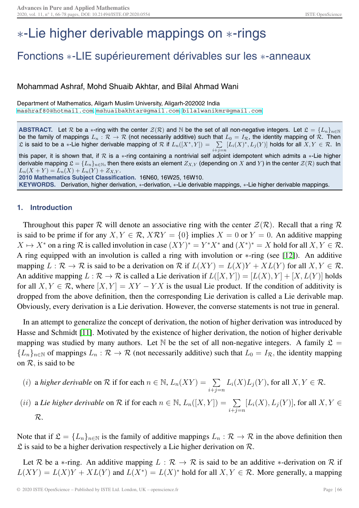# ∗-Lie higher derivable mappings on ∗-rings

## Fonctions ∗-LIE supérieurement dérivables sur les ∗-anneaux

### Mohammad Ashraf, Mohd Shuaib Akhtar, and Bilal Ahmad Wani

Department of Mathematics, Aligarh Muslim University, Aligarh-202002 India <mashraf80@hotmail.com>, <mshuaibakhtar@gmail.com>, <bilalwanikmr@gmail.com>

**ABSTRACT.** Let R be a  $*$ -ring with the center  $\mathcal{Z}(\mathcal{R})$  and N be the set of all non-negative integers. Let  $\mathfrak{L} = \{L_n\}_{n\in\mathbb{N}}$ be the family of mappings  $L_n:\mathcal{R}\to\mathcal{R}$  (not necessarily additive) such that  $L_0=I_\mathcal{R}$ , the identity mapping of  $\mathcal{R}$ . Then  $\mathfrak L$  is said to be a  $*$ -Lie higher derivable mapping of  $\mathcal R$  if  $L_n([X^*,Y]) = -\sum$  $\sum\limits_{i+j=n} [L_i(X)^*,L_j(Y)]$  holds for all  $X,Y ∈ ℝ.$  In

this paper, it is shown that, if  $R$  is a  $*$ -ring containing a nontrivial self adjoint idempotent which admits a  $*$ -Lie higher derivable mapping  $\mathfrak{L} = \{L_n\}_{n \in \mathbb{N}}$ , then there exists an element  $Z_{X,Y}$  (depending on X and Y) in the center  $\mathcal{Z}(\mathcal{R})$  such that  $L_n(X + Y) = L_n(X) + L_n(Y) + Z_{X,Y}$ . **2010 Mathematics Subject Classification.** 16N60, 16W25, 16W10.

**KEYWORDS.** Derivation, higher derivation, ∗-derivation, ∗-Lie derivable mappings, ∗-Lie higher derivable mappings.

#### **1. Introduction**

Throughout this paper R will denote an associative ring with the center  $\mathcal{Z}(\mathcal{R})$ . Recall that a ring R is said to be prime if for any  $X, Y \in \mathcal{R}$ ,  $X \mathcal{R} Y = \{0\}$  implies  $X = 0$  or  $Y = 0$ . An additive mapping  $X \mapsto X^*$  on a ring R is called involution in case  $(XY)^* = Y^*X^*$  and  $(X^*)^* = X$  hold for all  $X, Y \in \mathcal{R}$ . A ring equipped with an involution is called a ring with involution or ∗-ring (see [\[12\]](#page-11-0)). An additive mapping  $L : \mathcal{R} \to \mathcal{R}$  is said to be a derivation on  $\mathcal{R}$  if  $L(XY) = L(X)Y + XL(Y)$  for all  $X, Y \in \mathcal{R}$ . An additive mapping  $L : \mathcal{R} \to \mathcal{R}$  is called a Lie derivation if  $L([X, Y]) = [L(X), Y] + [X, L(Y)]$  holds for all  $X, Y \in \mathcal{R}$ , where  $[X, Y] = XY - YX$  is the usual Lie product. If the condition of additivity is dropped from the above definition, then the corresponding Lie derivation is called a Lie derivable map. Obviously, every derivation is a Lie derivation. However, the converse statements is not true in general.

In an attempt to generalize the concept of derivation, the notion of higher derivation was introduced by Hasse and Schmidt [\[11\]](#page-11-1). Motivated by the existence of higher derivation, the notion of higher derivable mapping was studied by many authors. Let N be the set of all non-negative integers. A family  $\mathfrak{L} =$  ${L_n}_{n \in \mathbb{N}}$  of mappings  $L_n : \mathcal{R} \to \mathcal{R}$  (not necessarily additive) such that  $L_0 = I_{\mathcal{R}}$ , the identity mapping on  $\mathcal{R}$ , is said to be

- (i) a *higher derivable* on  $\mathcal R$  if for each  $n \in \mathbb N$ ,  $L_n(XY) = \sum$ *i*+*j*=*n*  $L_i(X)L_j(Y)$ , for all  $X, Y \in \mathcal{R}$ .
- (*ii*) a *Lie higher derivable* on  $\mathcal R$  if for each  $n \in \mathbb N$ ,  $L_n([X, Y]) = \sum$ *i*+*j*=*n*  $[L_i(X), L_j(Y)]$ , for all  $X, Y \in$ R.

Note that if  $\mathfrak{L} = \{L_n\}_{n\in\mathbb{N}}$  is the family of additive mappings  $L_n : \mathcal{R} \to \mathcal{R}$  in the above definition then  $\mathfrak L$  is said to be a higher derivation respectively a Lie higher derivation on  $\mathcal R$ .

Let R be a  $*$ -ring. An additive mapping  $L : \mathcal{R} \to \mathcal{R}$  is said to be an additive  $*$ -derivation on R if  $L(XY) = L(X)Y + XL(Y)$  and  $L(X^*) = L(X)^*$  hold for all  $X, Y \in \mathcal{R}$ . More generally, a mapping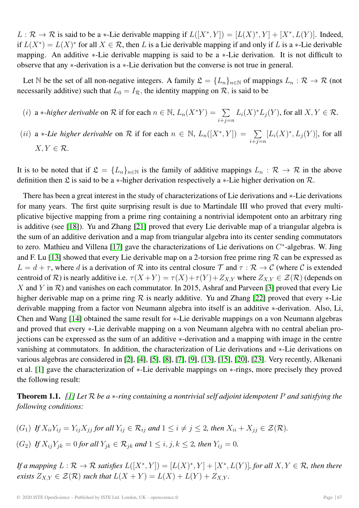$L : \mathcal{R} \to \mathcal{R}$  is said to be a  $*$ -Lie derivable mapping if  $L([X^*, Y]) = [L(X)^*, Y] + [X^*, L(Y)]$ . Indeed, if  $L(X^*) = L(X)^*$  for all  $X \in \mathcal{R}$ , then L is a Lie derivable mapping if and only if L is a  $*$ -Lie derivable mapping. An additive ∗-Lie derivable mapping is said to be a ∗-Lie derivation. It is not difficult to observe that any ∗-derivation is a ∗-Lie derivation but the converse is not true in general.

Let N be the set of all non-negative integers. A family  $\mathfrak{L} = \{L_n\}_{n \in \mathbb{N}}$  of mappings  $L_n : \mathcal{R} \to \mathcal{R}$  (not necessarily additive) such that  $L_0 = I_{\mathcal{R}}$ , the identity mapping on  $\mathcal{R}$ , is said to be

- (i) a *\*-higher derivable* on  $\mathcal R$  if for each  $n \in \mathbb N$ ,  $L_n(X^*Y) = \sum_{n=1}^\infty$ *i*+*j*=*n*  $L_i(X)^*L_j(Y)$ , for all  $X, Y \in \mathcal{R}$ .
- (ii) a \**-Lie higher derivable* on R if for each  $n \in \mathbb{N}$ ,  $L_n([X^*, Y]) = \sum$ *i*+*j*=*n*  $[L_i(X)^*, L_j(Y)]$ , for all  $X, Y \in \mathcal{R}$ .

It is to be noted that if  $\mathfrak{L} = \{L_n\}_{n \in \mathbb{N}}$  is the family of additive mappings  $L_n : \mathcal{R} \to \mathcal{R}$  in the above definition then £ is said to be a  $*$ -higher derivation respectively a  $*$ -Lie higher derivation on  $\mathcal{R}$ .

There has been a great interest in the study of characterizations of Lie derivations and ∗-Lie derivations for many years. The first quite surprising result is due to Martindale III who proved that every multiplicative bijective mapping from a prime ring containing a nontrivial idempotent onto an arbitrary ring is additive (see [\[18\]](#page-12-0)). Yu and Zhang [\[21\]](#page-12-1) proved that every Lie derivable map of a triangular algebra is the sum of an additive derivation and a map from triangular algebra into its center sending commutators to zero. Mathieu and Villena [\[17\]](#page-12-2) gave the characterizations of Lie derivations on C∗-algebras. W. Jing and F. Lu [\[13\]](#page-11-2) showed that every Lie derivable map on a 2-torsion free prime ring  $R$  can be expressed as  $L = d + \tau$ , where d is a derivation of R into its central closure T and  $\tau : \mathcal{R} \to \mathcal{C}$  (where C is extended centroid of R) is nearly additive i.e.  $\tau(X+Y) = \tau(X) + \tau(Y) + Z_{X,Y}$  where  $Z_{X,Y} \in \mathcal{Z}(\mathcal{R})$  (depends on X and Y in  $\mathcal R$ ) and vanishes on each commutator. In 2015, Ashraf and Parveen [\[3\]](#page-11-3) proved that every Lie higher derivable map on a prime ring R is nearly additive. Yu and Zhang [\[22\]](#page-12-3) proved that every  $*$ -Lie derivable mapping from a factor von Neumann algebra into itself is an additive ∗-derivation. Also, Li, Chen and Wang [\[14\]](#page-12-4) obtained the same result for ∗-Lie derivable mappings on a von Neumann algebras and proved that every  $*$ -Lie derivable mapping on a von Neumann algebra with no central abelian projections can be expressed as the sum of an additive ∗-derivation and a mapping with image in the centre vanishing at commutators. In addition, the characterization of Lie derivations and ∗-Lie derivations on various algebras are considered in [\[2\]](#page-11-4), [\[4\]](#page-11-5), [\[5\]](#page-11-6), [\[8\]](#page-11-7), [\[7\]](#page-11-8), [\[9\]](#page-11-9), [\[13\]](#page-11-2), [\[15\]](#page-12-5), [\[20\]](#page-12-6), [\[23\]](#page-12-7). Very recently, Alkenani et al. [\[1\]](#page-11-10) gave the characterization of ∗-Lie derivable mappings on ∗-rings, more precisely they proved the following result:

<span id="page-1-0"></span>**Theorem 1.1.** *[\[1\]](#page-11-10) Let* R *be a* ∗*-ring containing a nontrivial self adjoint idempotent* P *and satisfying the following conditions:*

- $(G_1)$  *If*  $X_{ii}Y_{ij} = Y_{ij}X_{jj}$  for all  $Y_{ij} \in \mathcal{R}_{ij}$  and  $1 \leq i \neq j \leq 2$ , then  $X_{ii} + X_{jj} \in \mathcal{Z}(\mathcal{R})$ .
- (G<sub>2</sub>) *If*  $X_{ij}Y_{jk} = 0$  *for all*  $Y_{jk} \in \mathcal{R}_{jk}$  *and*  $1 \le i, j, k \le 2$ *, then*  $Y_{ij} = 0$ *.*

*If a mapping*  $L: \mathcal{R} \to \mathcal{R}$  *satisfies*  $L([X^*, Y]) = [L(X)^*, Y] + [X^*, L(Y)]$ *, for all*  $X, Y \in \mathcal{R}$ *, then there exists*  $Z_{X,Y} \in \mathcal{Z}(\mathcal{R})$  *such that*  $L(X + Y) = L(X) + L(Y) + Z_{X,Y}$ .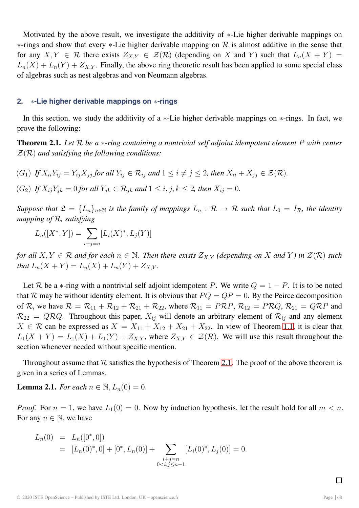Motivated by the above result, we investigate the additivity of ∗-Lie higher derivable mappings on  $*$ -rings and show that every  $*$ -Lie higher derivable mapping on  $R$  is almost additive in the sense that for any  $X, Y \in \mathcal{R}$  there exists  $Z_{X,Y} \in \mathcal{Z}(\mathcal{R})$  (depending on X and Y) such that  $L_n(X + Y) =$  $L_n(X) + L_n(Y) + Z_{X,Y}$ . Finally, the above ring theoretic result has been applied to some special class of algebras such as nest algebras and von Neumann algebras.

#### **2.** ∗**-Lie higher derivable mappings on** ∗**-rings**

In this section, we study the additivity of a ∗-Lie higher derivable mappings on ∗-rings. In fact, we prove the following:

<span id="page-2-0"></span>**Theorem 2.1.** *Let* R *be a* ∗*-ring containing a nontrivial self adjoint idempotent element* P *with center* Z(R) *and satisfying the following conditions:*

 $(G_1)$  *If*  $X_{ii}Y_{ij} = Y_{ij}X_{jj}$  for all  $Y_{ij} \in \mathcal{R}_{ij}$  and  $1 \leq i \neq j \leq 2$ , then  $X_{ii} + X_{jj} \in \mathcal{Z}(\mathcal{R})$ .

 $(G_2)$  *If*  $X_{ij}Y_{jk} = 0$  *for all*  $Y_{jk} \in \mathcal{R}_{jk}$  *and*  $1 \le i, j, k \le 2$ *, then*  $X_{ij} = 0$ *.* 

*Suppose that*  $\mathfrak{L} = \{L_n\}_{n\in\mathbb{N}}$  *is the family of mappings*  $L_n : \mathcal{R} \to \mathcal{R}$  *such that*  $L_0 = I_{\mathcal{R}}$ *, the identity mapping of* R*, satisfying*

$$
L_n([X^*, Y]) = \sum_{i+j=n} [L_i(X)^*, L_j(Y)]
$$

*for all*  $X, Y \in \mathcal{R}$  *and for each*  $n \in \mathbb{N}$ *. Then there exists*  $Z_{X,Y}$  *(depending on* X *and* Y) *in*  $\mathcal{Z}(\mathcal{R})$  *such that*  $L_n(X + Y) = L_n(X) + L_n(Y) + Z_{X,Y}$ .

Let R be a  $*$ -ring with a nontrivial self adjoint idempotent P. We write  $Q = 1 - P$ . It is to be noted that R may be without identity element. It is obvious that  $PQ = QP = 0$ . By the Peirce decomposition of R, we have  $\mathcal{R} = \mathcal{R}_{11} + \mathcal{R}_{12} + \mathcal{R}_{21} + \mathcal{R}_{22}$ , where  $\mathcal{R}_{11} = P\mathcal{R}P$ ,  $\mathcal{R}_{12} = P\mathcal{R}Q$ ,  $\mathcal{R}_{21} = Q\mathcal{R}P$  and  $\mathcal{R}_{22} = Q\mathcal{R}Q$ . Throughout this paper,  $X_{ij}$  will denote an arbitrary element of  $\mathcal{R}_{ij}$  and any element  $X \in \mathcal{R}$  can be expressed as  $X = X_{11} + X_{12} + X_{21} + X_{22}$ . In view of Theorem [1.1,](#page-1-0) it is clear that  $L_1(X + Y) = L_1(X) + L_1(Y) + Z_{X,Y}$ , where  $Z_{X,Y} \in \mathcal{Z}(\mathcal{R})$ . We will use this result throughout the section whenever needed without specific mention.

Throughout assume that  $R$  satisfies the hypothesis of Theorem [2.1.](#page-2-0) The proof of the above theorem is given in a series of Lemmas.

<span id="page-2-1"></span>**Lemma 2.1.** *For each*  $n \in \mathbb{N}$ ,  $L_n(0) = 0$ .

*Proof.* For  $n = 1$ , we have  $L_1(0) = 0$ . Now by induction hypothesis, let the result hold for all  $m < n$ . For any  $n \in \mathbb{N}$ , we have

$$
L_n(0) = L_n([0^*,0])
$$
  
=  $[L_n(0)^*,0] + [0^*,L_n(0)] + \sum_{\substack{i+j=n\\0$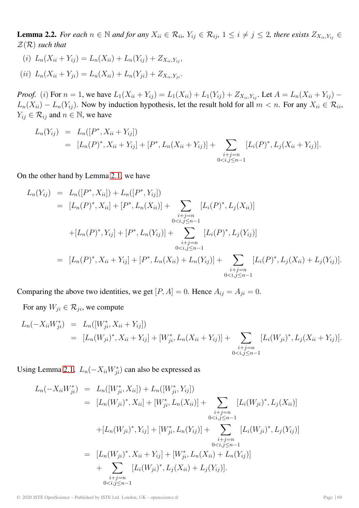<span id="page-3-0"></span>**Lemma 2.2.** For each  $n \in \mathbb{N}$  and for any  $X_{ii} \in \mathcal{R}_{ii}$ ,  $Y_{ij} \in \mathcal{R}_{ij}$ , 1 ≤  $i \neq j$  ≤ 2, there exists  $Z_{X_{ii},Y_{ij}}$  ∈ Z(R) *such that*

(i)  $L_n(X_{ii} + Y_{ii}) = L_n(X_{ii}) + L_n(Y_{ii}) + Z_{X_{ii},Y_{ii}}$  $(iii)$   $L_n(X_{ii} + Y_{ji}) = L_n(X_{ii}) + L_n(Y_{ji}) + Z_{X_{ii},Y_{ji}}.$ 

*Proof.* (i) For  $n = 1$ , we have  $L_1(X_{ii} + Y_{ij}) = L_1(X_{ii}) + L_1(Y_{ij}) + Z_{X_{ii},Y_{ij}}$ . Let  $A = L_n(X_{ii} + Y_{ij}) - I_n(Y_{ij})$  $L_n(X_{ii}) - L_n(Y_{ij})$ . Now by induction hypothesis, let the result hold for all  $m < n$ . For any  $X_{ii} \in \mathcal{R}_{ii}$ ,  $Y_{ij} \in \mathcal{R}_{ij}$  and  $n \in \mathbb{N}$ , we have

$$
L_n(Y_{ij}) = L_n([P^*, X_{ii} + Y_{ij}])
$$
  
=  $[L_n(P)^*, X_{ii} + Y_{ij}] + [P^*, L_n(X_{ii} + Y_{ij})] + \sum_{\substack{i+j=n\\0 < i,j \leq n-1}} [L_i(P)^*, L_j(X_{ii} + Y_{ij})].$ 

On the other hand by Lemma [2.1,](#page-2-1) we have

$$
L_n(Y_{ij}) = L_n([P^*, X_{ii}]) + L_n([P^*, Y_{ij}])
$$
  
\n
$$
= [L_n(P)^*, X_{ii}] + [P^*, L_n(X_{ii})] + \sum_{\substack{i+j=n\\0 < i,j \leq n-1}} [L_i(P)^*, L_j(X_{ii})]
$$
  
\n
$$
+ [L_n(P)^*, Y_{ij}] + [P^*, L_n(Y_{ij})] + \sum_{\substack{i+j=n\\0 < i,j \leq n-1}} [L_i(P)^*, L_j(Y_{ij})]
$$
  
\n
$$
= [L_n(P)^*, X_{ii} + Y_{ij}] + [P^*, L_n(X_{ii}) + L_n(Y_{ij})] + \sum_{\substack{i+j=n\\0 < i,j \leq n-1}} [L_i(P)^*, L_j(X_{ii}) + L_j(Y_{ij})].
$$

Comparing the above two identities, we get  $[P, A] = 0$ . Hence  $A_{ij} = A_{ji} = 0$ .

For any  $W_{ji} \in \mathcal{R}_{ji}$ , we compute

$$
L_n(-X_{ii}W_{ji}^*) = L_n([W_{ji}^*, X_{ii} + Y_{ij}])
$$
  
=  $[L_n(W_{ji})^*, X_{ii} + Y_{ij}] + [W_{ji}^*, L_n(X_{ii} + Y_{ij})] + \sum_{\substack{i+j=n\\0 < i,j \le n-1}} [L_i(W_{ji})^*, L_j(X_{ii} + Y_{ij})].$ 

Using Lemma [2.1,](#page-2-1)  $L_n(-X_{ii}W_{ji}^*)$  can also be expressed as

$$
L_n(-X_{ii}W_{ji}^*) = L_n([W_{ji}^*, X_{ii}]) + L_n([W_{ji}^*, Y_{ij}])
$$
  
\n
$$
= [L_n(W_{ji})^*, X_{ii}] + [W_{ji}^*, L_n(X_{ii})] + \sum_{\substack{i+j=n\\0 < i,j \leq n-1}} [L_i(W_{ji})^*, L_j(X_{ii})]
$$
  
\n
$$
+ [L_n(W_{ji})^*, Y_{ij}] + [W_{ji}^*, L_n(Y_{ij})] + \sum_{\substack{i+j=n\\0 < i,j \leq n-1}} [L_i(W_{ji})^*, L_j(Y_{ij})]
$$
  
\n
$$
+ \sum_{\substack{i+j=n\\0 < i,j \leq n-1}} [L_i(W_{ji})^*, L_j(X_{ii}) + L_j(Y_{ij})].
$$

© 2020 ISTE OpenScience – Published by ISTE Ltd. London, UK – openscience.fr Page | 69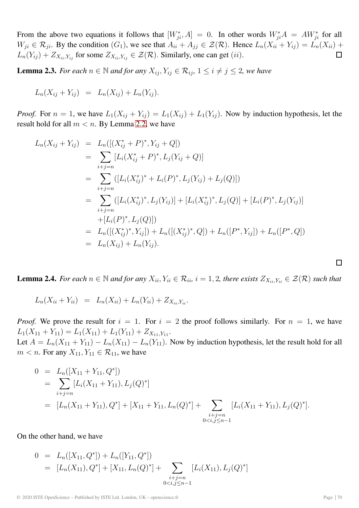From the above two equations it follows that  $[W_{ji}^*, A] = 0$ . In other words  $W_{ji}^*A = AW_{ji}^*$  for all  $W_{ji} \in \mathcal{R}_{ji}$ . By the condition  $(G_1)$ , we see that  $A_{ii} + A_{jj} \in \mathcal{Z}(\mathcal{R})$ . Hence  $L_n(X_{ii} + Y_{ij}) = L_n(X_{ii}) +$  $L_n(Y_{ij}) + Z_{X_{ii},Y_{ij}}$  for some  $Z_{X_{ii},Y_{ij}} \in \mathcal{Z}(\mathcal{R})$ . Similarly, one can get (ii).  $\Box$ 

<span id="page-4-0"></span>**Lemma 2.3.** *For each*  $n \in \mathbb{N}$  *and for any*  $X_{ij}$ ,  $Y_{ij} \in \mathcal{R}_{ij}$ ,  $1 \leq i \neq j \leq 2$ , we have

$$
L_n(X_{ij} + Y_{ij}) = L_n(X_{ij}) + L_n(Y_{ij}).
$$

*Proof.* For  $n = 1$ , we have  $L_1(X_{ij} + Y_{ij}) = L_1(X_{ij}) + L_1(Y_{ij})$ . Now by induction hypothesis, let the result hold for all  $m < n$ . By Lemma [2.2,](#page-3-0) we have

$$
L_n(X_{ij} + Y_{ij}) = L_n([(X_{ij}^* + P)^*, Y_{ij} + Q])
$$
  
\n
$$
= \sum_{i+j=n} [L_i(X_{ij}^* + P)^*, L_j(Y_{ij} + Q)]
$$
  
\n
$$
= \sum_{i+j=n} ([L_i(X_{ij}^*)^* + L_i(P)^*, L_j(Y_{ij}) + L_j(Q)])
$$
  
\n
$$
= \sum_{i+j=n} ([L_i(X_{ij}^*)^*, L_j(Y_{ij})] + [L_i(X_{ij}^*)^*, L_j(Q)] + [L_i(P)^*, L_j(Y_{ij})]
$$
  
\n
$$
+ [L_i(P)^*, L_j(Q)])
$$
  
\n
$$
= L_n([(X_{ij}^*)^*, Y_{ij}]) + L_n([(X_{ij}^*)^*, Q]) + L_n([P^*, Y_{ij}]) + L_n([P^*, Q])
$$
  
\n
$$
= L_n(X_{ij}) + L_n(Y_{ij}).
$$

<span id="page-4-1"></span>**Lemma 2.4.** For each  $n \in \mathbb{N}$  and for any  $X_{ii}$ ,  $Y_{ii} \in \mathcal{R}_{ii}$ ,  $i = 1, 2$ , there exists  $Z_{X_{ii}, Y_{ii}} \in \mathcal{Z}(\mathcal{R})$  such that

$$
L_n(X_{ii} + Y_{ii}) = L_n(X_{ii}) + L_n(Y_{ii}) + Z_{X_{ii}, Y_{ii}}.
$$

*Proof.* We prove the result for  $i = 1$ . For  $i = 2$  the proof follows similarly. For  $n = 1$ , we have  $L_1(X_{11} + Y_{11}) = L_1(X_{11}) + L_1(Y_{11}) + Z_{X_{11},Y_{11}}.$ Let  $A = L_n(X_{11} + Y_{11}) - L_n(X_{11}) - L_n(Y_{11})$ . Now by induction hypothesis, let the result hold for all  $m < n$ . For any  $X_{11}, Y_{11} \in \mathcal{R}_{11}$ , we have

$$
0 = L_n([X_{11} + Y_{11}, Q^*])
$$
  
\n
$$
= \sum_{i+j=n} [L_i(X_{11} + Y_{11}), L_j(Q)^*]
$$
  
\n
$$
= [L_n(X_{11} + Y_{11}), Q^*] + [X_{11} + Y_{11}, L_n(Q)^*] + \sum_{\substack{i+j=n \ 0 < i,j \le n-1}} [L_i(X_{11} + Y_{11}), L_j(Q)^*].
$$

On the other hand, we have

$$
0 = L_n([X_{11}, Q^*]) + L_n([Y_{11}, Q^*])
$$
  
=  $[L_n(X_{11}), Q^*] + [X_{11}, L_n(Q)^*] + \sum_{\substack{i+j=n\\0 < i,j \leq n-1}} [L_i(X_{11}), L_j(Q)^*]$ 

 $\Box$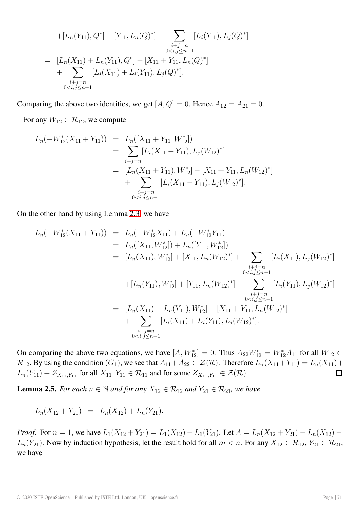+
$$
[L_n(Y_{11}), Q^*]
$$
 +  $[Y_{11}, L_n(Q)^*]$  +  $\sum_{\substack{i+j=n\\0  
\n=  $[L_n(X_{11}) + L_n(Y_{11}), Q^*] + [X_{11} + Y_{11}, L_n(Q)^*]$   
\n+  $\sum_{\substack{i+j=n\\0}} [L_i(X_{11}) + L_i(Y_{11}), L_j(Q)^*].$$ 

Comparing the above two identities, we get  $[A, Q] = 0$ . Hence  $A_{12} = A_{21} = 0$ .

For any  $W_{12} \in \mathcal{R}_{12}$ , we compute

$$
L_n(-W_{12}^*(X_{11} + Y_{11})) = L_n([X_{11} + Y_{11}, W_{12}^*])
$$
  
= 
$$
\sum_{i+j=n} [L_i(X_{11} + Y_{11}), L_j(W_{12})^*]
$$
  
= 
$$
[L_n(X_{11} + Y_{11}), W_{12}^*] + [X_{11} + Y_{11}, L_n(W_{12})^*]
$$
  
+ 
$$
\sum_{\substack{i+j=n\\0 < i,j \le n-1}} [L_i(X_{11} + Y_{11}), L_j(W_{12})^*].
$$

On the other hand by using Lemma [2.3,](#page-4-0) we have

$$
L_n(-W_{12}^*(X_{11} + Y_{11})) = L_n(-W_{12}^*X_{11}) + L_n(-W_{12}^*Y_{11})
$$
  
\n
$$
= L_n([X_{11}, W_{12}^*]) + L_n([Y_{11}, W_{12}^*])
$$
  
\n
$$
= [L_n(X_{11}), W_{12}^*] + [X_{11}, L_n(W_{12})^*] + \sum_{\substack{i+j=n\\0 < i,j \leq n-1}} [L_i(X_{11}), L_j(W_{12})^*]
$$
  
\n
$$
+ [L_n(Y_{11}), W_{12}^*] + [Y_{11}, L_n(W_{12})^*] + \sum_{\substack{i+j=n\\0 < i,j \leq n-1}} [L_i(Y_{11}), L_j(W_{12})^*]
$$
  
\n
$$
= [L_n(X_{11}) + L_n(Y_{11}), W_{12}^*] + [X_{11} + Y_{11}, L_n(W_{12})^*]
$$
  
\n
$$
+ \sum_{\substack{i+j=n\\0 < i,j \leq n-1}} [L_i(X_{11}) + L_i(Y_{11}), L_j(W_{12})^*].
$$

On comparing the above two equations, we have  $[A, W_{12}^*] = 0$ . Thus  $A_{22}W_{12}^* = W_{12}^*A_{11}$  for all  $W_{12} \in$  $\mathcal{R}_{12}$ . By using the condition  $(G_1)$ , we see that  $A_{11}+A_{22} \in \mathcal{Z}(\mathcal{R})$ . Therefore  $L_n(X_{11}+Y_{11}) = L_n(X_{11}) +$  $L_n(Y_{11}) + Z_{X_{11}, Y_{11}}$  for all  $X_{11}, Y_{11} \in \mathcal{R}_{11}$  and for some  $Z_{X_{11}, Y_{11}} \in \mathcal{Z}(\mathcal{R})$ .  $\Box$ 

<span id="page-5-0"></span>**Lemma 2.5.** *For each*  $n \in \mathbb{N}$  *and for any*  $X_{12} \in \mathcal{R}_{12}$  *and*  $Y_{21} \in \mathcal{R}_{21}$ *, we have* 

$$
L_n(X_{12} + Y_{21}) = L_n(X_{12}) + L_n(Y_{21}).
$$

*Proof.* For  $n = 1$ , we have  $L_1(X_{12} + Y_{21}) = L_1(X_{12}) + L_1(Y_{21})$ . Let  $A = L_n(X_{12} + Y_{21}) - L_n(X_{12}) L_n(Y_{21})$ . Now by induction hypothesis, let the result hold for all  $m < n$ . For any  $X_{12} \in \mathcal{R}_{12}$ ,  $Y_{21} \in \mathcal{R}_{21}$ , we have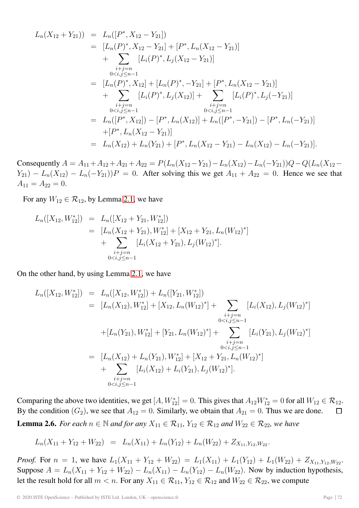$$
L_n(X_{12} + Y_{21})) = L_n([P^*, X_{12} - Y_{21}])
$$
  
\n
$$
= [L_n(P)^*, X_{12} - Y_{21}] + [P^*, L_n(X_{12} - Y_{21})]
$$
  
\n
$$
+ \sum_{\substack{i+j=n\\0 < i,j \leq n-1}} [L_i(P)^*, L_j(X_{12} - Y_{21})]
$$
  
\n
$$
= [L_n(P)^*, X_{12}] + [L_n(P)^*, -Y_{21}] + [P^*, L_n(X_{12} - Y_{21})]
$$
  
\n
$$
+ \sum_{\substack{i+j=n\\0 < i,j \leq n-1}} [L_i(P)^*, L_j(X_{12})] + \sum_{\substack{i+j=n\\0 < i,j \leq n-1}} [L_i(P)^*, L_j(-Y_{21})]
$$
  
\n
$$
= L_n([P^*, X_{12}]) - [P^*, L_n(X_{12})] + L_n([P^*, -Y_{21}]) - [P^*, L_n(-Y_{21})]
$$
  
\n
$$
+ [P^*, L_n(X_{12} - Y_{21})]
$$
  
\n
$$
= L_n(X_{12}) + L_n(Y_{21}) + [P^*, L_n(X_{12} - Y_{21}) - L_n(X_{12}) - L_n(-Y_{21})].
$$

Consequently  $A = A_{11} + A_{12} + A_{21} + A_{22} = P(L_n(X_{12} - Y_{21}) - L_n(X_{12}) - L_n(-Y_{21}))Q - Q(L_n(X_{12} - Y_{21}) - L_n(X_{12} - Y_{21}))Q$  $Y_{21}$ ) –  $L_n(X_{12}) - L_n(-Y_{21})$ ) P = 0. After solving this we get  $A_{11} + A_{22} = 0$ . Hence we see that  $A_{11} = A_{22} = 0.$ 

For any  $W_{12} \in \mathcal{R}_{12}$ , by Lemma [2.1,](#page-2-1) we have

$$
L_n([X_{12}, W_{12}^*]) = L_n([X_{12} + Y_{21}, W_{12}^*])
$$
  
= 
$$
[L_n(X_{12} + Y_{21}), W_{12}^*] + [X_{12} + Y_{21}, L_n(W_{12})^*]
$$
  
+ 
$$
\sum_{\substack{i+j=n\\0
$$

On the other hand, by using Lemma [2.1,](#page-2-1) we have

$$
L_n([X_{12}, W_{12}^*]) = L_n([X_{12}, W_{12}^*]) + L_n([Y_{21}, W_{12}^*])
$$
  
\n
$$
= [L_n(X_{12}), W_{12}^*] + [X_{12}, L_n(W_{12})^*] + \sum_{\substack{i+j=n\\0 < i,j \leq n-1}} [L_i(X_{12}), L_j(W_{12})^*]
$$
  
\n
$$
+ [L_n(Y_{21}), W_{12}^*] + [Y_{21}, L_n(W_{12})^*] + \sum_{\substack{i+j=n\\0 < i,j \leq n-1}} [L_i(Y_{21}), L_j(W_{12})^*]
$$
  
\n
$$
= [L_n(X_{12}) + L_n(Y_{21}), W_{12}^*] + [X_{12} + Y_{21}, L_n(W_{12})^*]
$$
  
\n
$$
+ \sum_{\substack{i+j=n\\0 < i,j \leq n-1}} [L_i(X_{12}) + L_i(Y_{21}), L_j(W_{12})^*].
$$

<span id="page-6-0"></span>Comparing the above two identities, we get  $[A, W_{12}^*]=0$ . This gives that  $A_{12}W_{12}^* = 0$  for all  $W_{12} \in \mathcal{R}_{12}$ . By the condition  $(G_2)$ , we see that  $A_{12} = 0$ . Similarly, we obtain that  $A_{21} = 0$ . Thus we are done.  $\Box$ **Lemma 2.6.** *For each*  $n \in \mathbb{N}$  *and for any*  $X_{11} \in \mathcal{R}_{11}$ ,  $Y_{12} \in \mathcal{R}_{12}$  *and*  $W_{22} \in \mathcal{R}_{22}$ *, we have* 

$$
L_n(X_{11} + Y_{12} + W_{22}) = L_n(X_{11}) + L_n(Y_{12}) + L_n(W_{22}) + Z_{X_{11}, Y_{12}, W_{22}}.
$$

*Proof.* For  $n = 1$ , we have  $L_1(X_{11} + Y_{12} + W_{22}) = L_1(X_{11}) + L_1(Y_{12}) + L_1(W_{22}) + Z_{X_{11}, Y_{12}, W_{22}}$ . Suppose  $A = L_n(X_{11} + Y_{12} + W_{22}) - L_n(X_{11}) - L_n(Y_{12}) - L_n(W_{22})$ . Now by induction hypothesis, let the result hold for all  $m < n$ . For any  $X_{11} \in \mathcal{R}_{11}$ ,  $Y_{12} \in \mathcal{R}_{12}$  and  $W_{22} \in \mathcal{R}_{22}$ , we compute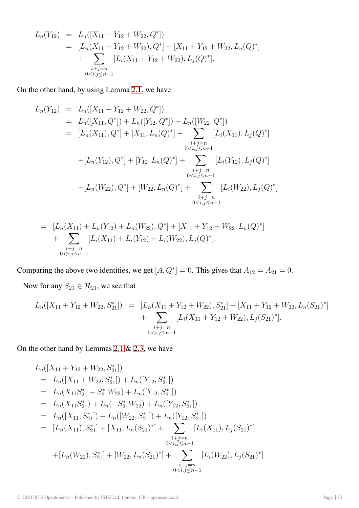$$
L_n(Y_{12}) = L_n([X_{11} + Y_{12} + W_{22}, Q^*])
$$
  
= 
$$
[L_n(X_{11} + Y_{12} + W_{22}), Q^*] + [X_{11} + Y_{12} + W_{22}, L_n(Q)^*]
$$
  
+ 
$$
\sum_{\substack{i+j=n\\0 < i,j \le n-1}} [L_i(X_{11} + Y_{12} + W_{22}), L_j(Q)^*].
$$

On the other hand, by using Lemma [2.1,](#page-2-1) we have

$$
L_n(Y_{12}) = L_n([X_{11} + Y_{12} + W_{22}, Q^*])
$$
  
\n
$$
= L_n([X_{11}, Q^*]) + L_n([Y_{12}, Q^*]) + L_n([W_{22}, Q^*])
$$
  
\n
$$
= [L_n(X_{11}), Q^*] + [X_{11}, L_n(Q)^*] + \sum_{\substack{i+j=n\\0 < i,j \leq n-1}}^{i+j=n} [L_i(X_{11}), L_j(Q)^*]
$$
  
\n
$$
+ [L_n(Y_{12}), Q^*] + [Y_{12}, L_n(Q)^*] + \sum_{\substack{i+j=n\\0 < i,j \leq n-1}}^{i+j=n} [L_i(Y_{12}), L_j(Q)^*]
$$
  
\n
$$
+ [L_n(W_{22}), Q^*] + [W_{22}, L_n(Q)^*] + \sum_{\substack{i+j=n\\0 < i,j \leq n-1}}^{i+j=n} [L_i(W_{22}), L_j(Q)^*]
$$

$$
= [L_n(X_{11}) + L_n(Y_{12}) + L_n(W_{22}), Q^*] + [X_{11} + Y_{12} + W_{22}, L_n(Q)^*] + \sum_{\substack{i+j=n\\0 < i,j \le n-1}} [L_i(X_{11}) + L_i(Y_{12}) + L_i(W_{22}), L_j(Q)^*].
$$

Comparing the above two identities, we get  $[A, Q^*]=0$ . This gives that  $A_{12} = A_{21} = 0$ .

Now for any  $S_{21} \in \mathcal{R}_{21}$ , we see that

$$
L_n([X_{11} + Y_{12} + W_{22}, S_{21}^*]) = [L_n(X_{11} + Y_{12} + W_{22}), S_{21}^*] + [X_{11} + Y_{12} + W_{22}, L_n(S_{21})^*] + \sum_{\substack{i+j=n\\0 < i,j \le n-1}} [L_i(X_{11} + Y_{12} + W_{22}), L_j(S_{21})^*].
$$

On the other hand by Lemmas [2.1](#page-2-1) & [2.3,](#page-4-0) we have

$$
L_n([X_{11} + Y_{12} + W_{22}, S_{21}^*])
$$
  
=  $L_n([X_{11} + W_{22}, S_{21}^*]) + L_n([Y_{12}, S_{21}^*])$   
=  $L_n(X_{11}S_{21}^* - S_{21}^*W_{22}) + L_n([Y_{12}, S_{21}^*])$   
=  $L_n(X_{11}S_{21}^*) + L_n(-S_{21}^*W_{22}) + L_n([Y_{12}, S_{21}^*])$   
=  $L_n([X_{11}, S_{21}^*]) + L_n([W_{22}, S_{21}^*]) + L_n([Y_{12}, S_{21}^*])$   
=  $[L_n(X_{11}), S_{21}^*] + [X_{11}, L_n(S_{21})^*] + \sum_{\substack{i+j=n\\0 < i,j \leq n-1}} [L_i(X_{11}), L_j(S_{21})^*]$   
+  $[L_n(W_{22}), S_{21}^*] + [W_{22}, L_n(S_{21})^*] + \sum_{\substack{i+j=n\\0 < i,j \leq n-1}} [L_i(W_{22}), L_j(S_{21})^*]$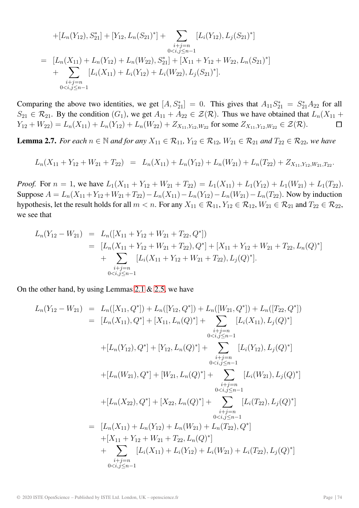$$
+[L_n(Y_{12}), S_{21}^*] + [Y_{12}, L_n(S_{21})^*] + \sum_{\substack{i+j=n\\0 < i,j \leq n-1}} [L_i(Y_{12}), L_j(S_{21})^*]
$$
\n
$$
= [L_n(X_{11}) + L_n(Y_{12}) + L_n(W_{22}), S_{21}^*] + [X_{11} + Y_{12} + W_{22}, L_n(S_{21})^*]
$$
\n
$$
+ \sum_{\substack{i+j=n\\0 < i,j \leq n-1}} [L_i(X_{11}) + L_i(Y_{12}) + L_i(W_{22}), L_j(S_{21})^*].
$$

Comparing the above two identities, we get  $[A, S_{21}^*] = 0$ . This gives that  $A_{11}S_{21}^* = S_{21}^*A_{22}$  for all  $S_{21} \in \mathcal{R}_{21}$ . By the condition  $(G_1)$ , we get  $A_{11} + A_{22} \in \mathcal{Z}(\mathcal{R})$ . Thus we have obtained that  $L_n(X_{11} +$  $Y_{12} + W_{22} = L_n(X_{11}) + L_n(Y_{12}) + L_n(W_{22}) + Z_{X_{11}, Y_{12}, W_{22}}$  for some  $Z_{X_{11}, Y_{12}, W_{22}} \in \mathcal{Z}(\mathcal{R})$ .  $\Box$ 

<span id="page-8-0"></span>**Lemma 2.7.** *For each*  $n \in \mathbb{N}$  *and for any*  $X_{11} \in \mathcal{R}_{11}$ ,  $Y_{12} \in \mathcal{R}_{12}$ ,  $W_{21} \in \mathcal{R}_{21}$  *and*  $T_{22} \in \mathcal{R}_{22}$ , we have

$$
L_n(X_{11} + Y_{12} + W_{21} + T_{22}) = L_n(X_{11}) + L_n(Y_{12}) + L_n(W_{21}) + L_n(T_{22}) + Z_{X_{11}, Y_{12}, W_{21}, T_{22}}.
$$

*Proof.* For  $n = 1$ , we have  $L_1(X_{11} + Y_{12} + W_{21} + T_{22}) = L_1(X_{11}) + L_1(Y_{12}) + L_1(W_{21}) + L_1(T_{22})$ . Suppose  $A = L_n(X_{11} + Y_{12} + W_{21} + T_{22}) - L_n(X_{11}) - L_n(Y_{12}) - L_n(W_{21}) - L_n(T_{22})$ . Now by induction hypothesis, let the result holds for all  $m < n$ . For any  $X_{11} \in \mathcal{R}_{11}$ ,  $Y_{12} \in \mathcal{R}_{12}$ ,  $W_{21} \in \mathcal{R}_{21}$  and  $T_{22} \in \mathcal{R}_{22}$ , we see that

$$
L_n(Y_{12} - W_{21}) = L_n([X_{11} + Y_{12} + W_{21} + T_{22}, Q^*])
$$
  
= 
$$
[L_n(X_{11} + Y_{12} + W_{21} + T_{22}), Q^*] + [X_{11} + Y_{12} + W_{21} + T_{22}, L_n(Q)^*]
$$
  
+ 
$$
\sum_{\substack{i+j=n\\0
$$

On the other hand, by using Lemmas [2.1](#page-2-1)  $& 2.5$ , we have

$$
L_n(Y_{12} - W_{21}) = L_n([X_{11}, Q^*]) + L_n([Y_{12}, Q^*]) + L_n([W_{21}, Q^*]) + L_n([T_{22}, Q^*])
$$
  
\n
$$
= [L_n(X_{11}), Q^*] + [X_{11}, L_n(Q)^*] + \sum_{\substack{i+j=n\\0 < i,j \leq n-1}}^{i+j=n} [L_i(X_{11}), L_j(Q)^*]
$$
  
\n
$$
+ [L_n(Y_{12}), Q^*] + [Y_{12}, L_n(Q)^*] + \sum_{\substack{i+j=n\\0 < i,j \leq n-1}}^{i+j=n} [L_i(Y_{12}), L_j(Q)^*]
$$
  
\n
$$
+ [L_n(W_{21}), Q^*] + [W_{21}, L_n(Q)^*] + \sum_{\substack{i+j=n\\0 < i,j \leq n-1}}^{i+j=n} [L_i(W_{21}), L_j(Q)^*]
$$
  
\n
$$
= [L_n(X_{11}) + L_n(Y_{12}) + L_n(W_{21}) + L_n(T_{22}), Q^*]
$$
  
\n
$$
+ [X_{11} + Y_{12} + W_{21} + T_{22}, L_n(Q)^*]
$$
  
\n
$$
+ \sum_{\substack{i+j=n\\0 < i,j \leq n-1}}^{i+j=n} [L_i(X_{11}) + L_i(Y_{12}) + L_n(W_{21}) + L_n(T_{22}), Q^*]
$$
  
\n
$$
+ \sum_{\substack{i+j=n\\0 < i,j \leq n-1}}^{i+j=n} [L_i(X_{11}) + L_i(Y_{12}) + L_i(W_{21}) + L_i(T_{22}), L_j(Q)^*]
$$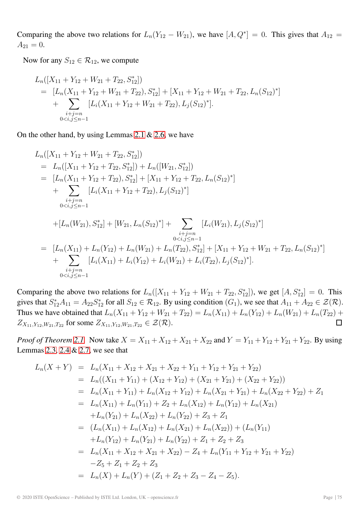Comparing the above two relations for  $L_n(Y_{12} - W_{21})$ , we have  $[A, Q^*]=0$ . This gives that  $A_{12} =$  $A_{21} = 0.$ 

Now for any  $S_{12} \in \mathcal{R}_{12}$ , we compute

$$
L_n([X_{11} + Y_{12} + W_{21} + T_{22}, S_{12}^*])
$$
  
=  $[L_n(X_{11} + Y_{12} + W_{21} + T_{22}), S_{12}^*] + [X_{11} + Y_{12} + W_{21} + T_{22}, L_n(S_{12})^*]$   
+  $\sum_{\substack{i+j=n\\0$ 

On the other hand, by using Lemmas [2.1](#page-2-1) & [2.6,](#page-6-0) we have

$$
L_n([X_{11} + Y_{12} + W_{21} + T_{22}, S_{12}^*])
$$
  
\n
$$
= L_n([X_{11} + Y_{12} + T_{22}, S_{12}^*]) + L_n([W_{21}, S_{12}^*])
$$
  
\n
$$
= [L_n(X_{11} + Y_{12} + T_{22}), S_{12}^*] + [X_{11} + Y_{12} + T_{22}, L_n(S_{12})^*]
$$
  
\n
$$
+ \sum_{\substack{i+j=n\\0  
\n
$$
+ [L_n(W_{21}), S_{12}^*] + [W_{21}, L_n(S_{12})^*] + \sum_{\substack{i+j=n\\0  
\n
$$
= [L_n(X_{11}) + L_n(Y_{12}) + L_n(W_{21}) + L_n(T_{22}), S_{12}^*] + [X_{11} + Y_{12} + W_{21} + T_{22}, L_n(S_{12})^*]
$$
  
\n
$$
+ \sum_{\substack{i+j=n\\0
$$
$$
$$

Comparing the above two relations for  $L_n([X_{11} + Y_{12} + W_{21} + T_{22}, S_{12}^*])$ , we get  $[A, S_{12}^*] = 0$ . This gives that  $S_{12}^*A_{11} = A_{22}S_{12}^*$  for all  $S_{12} \in \mathcal{R}_{12}$ . By using condition  $(G_1)$ , we see that  $A_{11} + A_{22} \in \mathcal{Z}(\mathcal{R})$ . Thus we have obtained that  $L_n(X_{11} + Y_{12} + W_{21} + T_{22}) = L_n(X_{11}) + L_n(Y_{12}) + L_n(W_{21}) + L_n(T_{22}) +$  $Z_{X_{11}, Y_{12}, W_{21}, T_{22}}$  for some  $Z_{X_{11}, Y_{12}, W_{21}, T_{22}} \in \mathcal{Z}(\mathcal{R})$ .  $\Box$ 

*Proof of Theorem [2.1.](#page-2-0)* Now take  $X = X_{11} + X_{12} + X_{21} + X_{22}$  and  $Y = Y_{11} + Y_{12} + Y_{21} + Y_{22}$ . By using Lemmas [2.3,](#page-4-0) [2.4](#page-4-1) & [2.7,](#page-8-0) we see that

$$
L_n(X + Y) = L_n(X_{11} + X_{12} + X_{21} + X_{22} + Y_{11} + Y_{12} + Y_{21} + Y_{22})
$$
  
\n
$$
= L_n((X_{11} + Y_{11}) + (X_{12} + Y_{12}) + (X_{21} + Y_{21}) + (X_{22} + Y_{22}))
$$
  
\n
$$
= L_n(X_{11} + Y_{11}) + L_n(X_{12} + Y_{12}) + L_n(X_{21} + Y_{21}) + L_n(X_{22} + Y_{22}) + Z_1
$$
  
\n
$$
= L_n(X_{11}) + L_n(Y_{11}) + Z_2 + L_n(X_{12}) + L_n(Y_{12}) + L_n(X_{21})
$$
  
\n
$$
+ L_n(Y_{21}) + L_n(X_{22}) + L_n(Y_{22}) + Z_3 + Z_1
$$
  
\n
$$
= (L_n(X_{11}) + L_n(X_{12}) + L_n(X_{21}) + L_n(X_{22})) + (L_n(Y_{11})
$$
  
\n
$$
+ L_n(Y_{12}) + L_n(Y_{21}) + L_n(Y_{22}) + Z_1 + Z_2 + Z_3
$$
  
\n
$$
= L_n(X_{11} + X_{12} + X_{21} + X_{22}) - Z_4 + L_n(Y_{11} + Y_{12} + Y_{21} + Y_{22})
$$
  
\n
$$
-Z_5 + Z_1 + Z_2 + Z_3
$$
  
\n
$$
= L_n(X) + L_n(Y) + (Z_1 + Z_2 + Z_3 - Z_4 - Z_5).
$$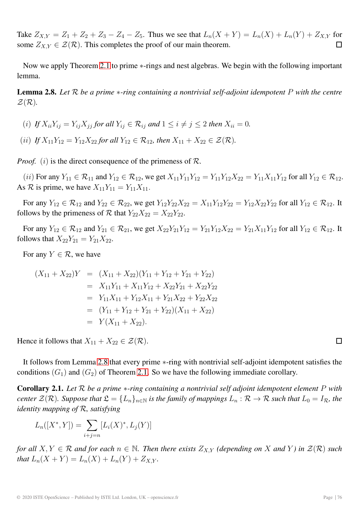Take  $Z_{X,Y} = Z_1 + Z_2 + Z_3 - Z_4 - Z_5$ . Thus we see that  $L_n(X + Y) = L_n(X) + L_n(Y) + Z_{X,Y}$  for  $\Box$ some  $Z_{X,Y} \in \mathcal{Z}(\mathcal{R})$ . This completes the proof of our main theorem.

Now we apply Theorem [2.1](#page-2-0) to prime ∗-rings and nest algebras. We begin with the following important lemma.

<span id="page-10-0"></span>**Lemma 2.8.** *Let* R *be a prime* ∗*-ring containing a nontrivial self-adjoint idempotent* P *with the centre*  $\mathcal{Z}(\mathcal{R})$ .

(i) If 
$$
X_{ii}Y_{ij} = Y_{ij}X_{jj}
$$
 for all  $Y_{ij} \in \mathcal{R}_{ij}$  and  $1 \le i \ne j \le 2$  then  $X_{ii} = 0$ .

(*ii*) *If*  $X_{11}Y_{12} = Y_{12}X_{22}$  *for all*  $Y_{12} \in \mathcal{R}_{12}$ *, then*  $X_{11} + X_{22} \in \mathcal{Z}(\mathcal{R})$ *.* 

*Proof.* (i) is the direct consequence of the primeness of  $\mathcal{R}$ .

(ii) For any  $Y_{11} \in \mathcal{R}_{11}$  and  $Y_{12} \in \mathcal{R}_{12}$ , we get  $X_{11}Y_{11}Y_{12} = Y_{11}Y_{12}X_{22} = Y_{11}X_{11}Y_{12}$  for all  $Y_{12} \in \mathcal{R}_{12}$ . As R is prime, we have  $X_{11}Y_{11} = Y_{11}X_{11}$ .

For any  $Y_{12} \in \mathcal{R}_{12}$  and  $Y_{22} \in \mathcal{R}_{22}$ , we get  $Y_{12}Y_{22}X_{22} = X_{11}Y_{12}Y_{22} = Y_{12}X_{22}Y_{22}$  for all  $Y_{12} \in \mathcal{R}_{12}$ . It follows by the primeness of  $\mathcal R$  that  $Y_{22}X_{22} = X_{22}Y_{22}$ .

For any  $Y_{12} \in \mathcal{R}_{12}$  and  $Y_{21} \in \mathcal{R}_{21}$ , we get  $X_{22}Y_{21}Y_{12} = Y_{21}Y_{12}X_{22} = Y_{21}X_{11}Y_{12}$  for all  $Y_{12} \in \mathcal{R}_{12}$ . It follows that  $X_{22}Y_{21} = Y_{21}X_{22}$ .

For any  $Y \in \mathcal{R}$ , we have

$$
(X_{11} + X_{22})Y = (X_{11} + X_{22})(Y_{11} + Y_{12} + Y_{21} + Y_{22})
$$
  
=  $X_{11}Y_{11} + X_{11}Y_{12} + X_{22}Y_{21} + X_{22}Y_{22}$   
=  $Y_{11}X_{11} + Y_{12}X_{11} + Y_{21}X_{22} + Y_{22}X_{22}$   
=  $(Y_{11} + Y_{12} + Y_{21} + Y_{22})(X_{11} + X_{22})$   
=  $Y(X_{11} + X_{22}).$ 

Hence it follows that  $X_{11} + X_{22} \in \mathcal{Z}(\mathcal{R})$ .

It follows from Lemma [2.8](#page-10-0) that every prime ∗-ring with nontrivial self-adjoint idempotent satisfies the conditions  $(G_1)$  and  $(G_2)$  of Theorem [2.1.](#page-2-0) So we have the following immediate corollary.

**Corollary 2.1.** *Let* R *be a prime* ∗*-ring containing a nontrivial self adjoint idempotent element* P *with center*  $\mathcal{Z}(\mathcal{R})$ *. Suppose that*  $\mathcal{L} = \{L_n\}_{n \in \mathbb{N}}$  *is the family of mappings*  $L_n : \mathcal{R} \to \mathcal{R}$  *such that*  $L_0 = I_{\mathcal{R}}$ *, the identity mapping of* R*, satisfying*

$$
L_n([X^*, Y]) = \sum_{i+j=n} [L_i(X)^*, L_j(Y)]
$$

*for all*  $X, Y \in \mathcal{R}$  *and for each*  $n \in \mathbb{N}$ . Then there exists  $Z_{X,Y}$  (depending on X and Y) in  $\mathcal{Z}(\mathcal{R})$  such *that*  $L_n(X + Y) = L_n(X) + L_n(Y) + Z_{X,Y}$ .

 $\Box$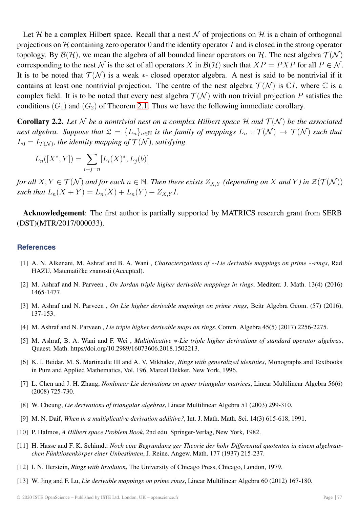Let H be a complex Hilbert space. Recall that a nest N of projections on H is a chain of orthogonal projections on  $H$  containing zero operator 0 and the identity operator I and is closed in the strong operator topology. By  $\mathcal{B}(\mathcal{H})$ , we mean the algebra of all bounded linear operators on H. The nest algebra  $\mathcal{T}(\mathcal{N})$ corresponding to the nest N is the set of all operators X in  $\mathcal{B}(\mathcal{H})$  such that  $XP = PXP$  for all  $P \in \mathcal{N}$ . It is to be noted that  $\mathcal{T}(\mathcal{N})$  is a weak  $*$ - closed operator algebra. A nest is said to be nontrivial if it contains at least one nontrivial projection. The centre of the nest algebra  $\mathcal{T}(\mathcal{N})$  is  $\mathbb{C}I$ , where  $\mathbb C$  is a complex field. It is to be noted that every nest algebra  $\mathcal{T}(\mathcal{N})$  with non trivial projection P satisfies the conditions  $(G_1)$  and  $(G_2)$  of Theorem [2.1.](#page-2-0) Thus we have the following immediate corollary.

**Corollary 2.2.** Let N be a nontrivial nest on a complex Hilbert space  $H$  and  $T(N)$  be the associated *nest algebra. Suppose that*  $\mathfrak{L} = \{L_n\}_{n \in \mathbb{N}}$  *is the family of mappings*  $L_n : \mathcal{T}(\mathcal{N}) \to \mathcal{T}(\mathcal{N})$  *such that*  $L_0 = I_{\mathcal{T}(\mathcal{N})}$ , the identity mapping of  $\mathcal{T}(\mathcal{N})$ , satisfying

$$
L_n([X^*, Y]) = \sum_{i+j=n} [L_i(X)^*, L_j(b)]
$$

*for all*  $X, Y \in \mathcal{T}(\mathcal{N})$  *and for each*  $n \in \mathbb{N}$ . Then there exists  $Z_{X,Y}$  (depending on X and Y) in  $\mathcal{Z}(\mathcal{T}(\mathcal{N}))$ *such that*  $L_n(X + Y) = L_n(X) + L_n(Y) + Z_{X,Y}I$ .

**Acknowledgement**: The first author is partially supported by MATRICS research grant from SERB (DST)(MTR/2017/000033).

#### <span id="page-11-10"></span>**References**

- [1] A. N. Alkenani, M. Ashraf and B. A. Wani , *Characterizations of* ∗*-Lie derivable mappings on prime* ∗*-rings*, Rad HAZU, Matemati*č*ke znanosti (Accepted).
- <span id="page-11-4"></span><span id="page-11-3"></span>[2] M. Ashraf and N. Parveen , *On Jordan triple higher derivable mappings in rings*, Mediterr. J. Math. 13(4) (2016) 1465-1477.
- <span id="page-11-5"></span>[3] M. Ashraf and N. Parveen , *On Lie higher derivable mappings on prime rings*, Beitr Algebra Geom. (57) (2016), 137-153.
- <span id="page-11-6"></span>[4] M. Ashraf and N. Parveen , *Lie triple higher derivable maps on rings*, Comm. Algebra 45(5) (2017) 2256-2275.
- [5] M. Ashraf, B. A. Wani and F. Wei , *Multiplicative* ∗*-Lie triple higher derivations of standard operator algebras*, Quaest. Math. https//doi.org/10.2989/16073606.2018.1502213.
- [6] K. I. Beidar, M. S. Martinadle III and A. V. Mikhalev, *Rings with generalized identities*, Monographs and Textbooks in Pure and Applied Mathematics, Vol. 196, Marcel Dekker, New York, 1996.
- <span id="page-11-8"></span>[7] L. Chen and J. H. Zhang, *Nonlinear Lie derivations on upper triangular matrices*, Linear Multilinear Algebra 56(6) (2008) 725-730.
- <span id="page-11-9"></span><span id="page-11-7"></span>[8] W. Cheung, *Lie derivations of triangular algebras*, Linear Multilinear Algebra 51 (2003) 299-310.
- [9] M. N. Daif, *When in a multiplicative derivation additive?*, Int. J. Math. Math. Sci. 14(3) 615-618, 1991.
- <span id="page-11-1"></span>[10] P. Halmos, *A Hilbert space Problem Book*, 2nd edu. Springer-Verlag, New York, 1982.
- [11] H. Hasse and F. K. Schimdt, *Noch eine Begründung ger Theorie der höhr Differential quotenten in einem algebraischen Fünktiosenkörper einer Unbestimten*, J. Reine. Angew. Math. 177 (1937) 215-237.
- <span id="page-11-2"></span><span id="page-11-0"></span>[12] I. N. Herstein, *Rings with Involuton*, The University of Chicago Press, Chicago, London, 1979.
- [13] W. Jing and F. Lu, *Lie derivable mappings on prime rings*, Linear Multilinear Algebra 60 (2012) 167-180.